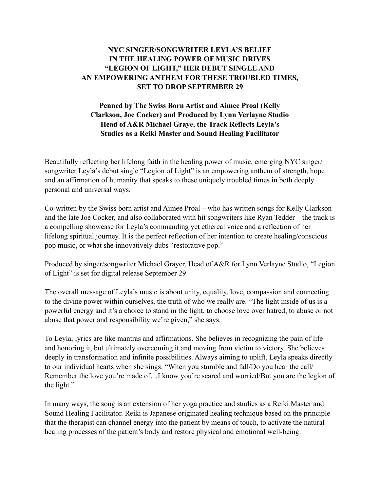## **NYC SINGER/SONGWRITER LEYLA'S BELIEF IN THE HEALING POWER OF MUSIC DRIVES "LEGION OF LIGHT," HER DEBUT SINGLE AND AN EMPOWERING ANTHEM FOR THESE TROUBLED TIMES, SET TO DROP SEPTEMBER 29**

## **Penned by The Swiss Born Artist and Aimee Proal (Kelly Clarkson, Joe Cocker) and Produced by Lynn Verlayne Studio Head of A&R Michael Graye, the Track Reflects Leyla's Studies as a Reiki Master and Sound Healing Facilitator**

Beautifully reflecting her lifelong faith in the healing power of music, emerging NYC singer/ songwriter Leyla's debut single "Legion of Light" is an empowering anthem of strength, hope and an affirmation of humanity that speaks to these uniquely troubled times in both deeply personal and universal ways.

Co-written by the Swiss born artist and Aimee Proal – who has written songs for Kelly Clarkson and the late Joe Cocker, and also collaborated with hit songwriters like Ryan Tedder – the track is a compelling showcase for Leyla's commanding yet ethereal voice and a reflection of her lifelong spiritual journey. It is the perfect reflection of her intention to create healing/conscious pop music, or what she innovatively dubs "restorative pop."

Produced by singer/songwriter Michael Grayer, Head of A&R for Lynn Verlayne Studio, "Legion of Light" is set for digital release September 29.

The overall message of Leyla's music is about unity, equality, love, compassion and connecting to the divine power within ourselves, the truth of who we really are. "The light inside of us is a powerful energy and it's a choice to stand in the light, to choose love over hatred, to abuse or not abuse that power and responsibility we're given," she says.

To Leyla, lyrics are like mantras and affirmations. She believes in recognizing the pain of life and honoring it, but ultimately overcoming it and moving from victim to victory. She believes deeply in transformation and infinite possibilities. Always aiming to uplift, Leyla speaks directly to our individual hearts when she sings: "When you stumble and fall/Do you hear the call/ Remember the love you're made of…I know you're scared and worried/But you are the legion of the light."

In many ways, the song is an extension of her yoga practice and studies as a Reiki Master and Sound Healing Facilitator. Reiki is Japanese originated healing technique based on the principle that the therapist can channel energy into the patient by means of touch, to activate the natural healing processes of the patient's body and restore physical and emotional well-being.